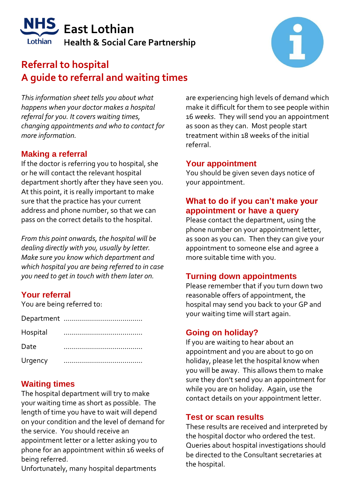# **East Lothian Health & Social Care Partnership**

# **Referral to hospital A guide to referral and waiting times**

*This information sheet tells you about what happens when your doctor makes a hospital referral for you. It covers waiting times, changing appointments and who to contact for more information.*

### **Making a referral**

If the doctor is referring you to hospital, she or he will contact the relevant hospital department shortly after they have seen you. At this point, it is really important to make sure that the practice has your current address and phone number, so that we can pass on the correct details to the hospital.

*From this point onwards, the hospital will be dealing directly with you, usually by letter. Make sure you know which department and which hospital you are being referred to in case you need to get in touch with them later on.*

# **Your referral**

You are being referred to:

| Hospital |  |
|----------|--|
| Date     |  |
| Urgency  |  |

### **Waiting times**

The hospital department will try to make your waiting time as short as possible. The length of time you have to wait will depend on your condition and the level of demand for the service. You should receive an appointment letter or a letter asking you to phone for an appointment within 16 weeks of being referred.

Unfortunately, many hospital departments

are experiencing high levels of demand which make it difficult for them to see people within 16 *weeks*. They will send you an appointment as soon as they can. Most people start treatment within 18 weeks of the initial referral.

#### **Your appointment**

You should be given seven days notice of your appointment.

#### **What to do if you can't make your appointment or have a query**

Please contact the department, using the phone number on your appointment letter, as soon as you can. Then they can give your appointment to someone else and agree a more suitable time with you.

#### **Turning down appointments**

Please remember that if you turn down two reasonable offers of appointment, the hospital may send you back to your GP and your waiting time will start again.

#### **Going on holiday?**

If you are waiting to hear about an appointment and you are about to go on holiday, please let the hospital know when you will be away. This allows them to make sure they don't send you an appointment for while you are on holiday. Again, use the contact details on your appointment letter.

#### **Test or scan results**

These results are received and interpreted by the hospital doctor who ordered the test. Queries about hospital investigations should be directed to the Consultant secretaries at the hospital.